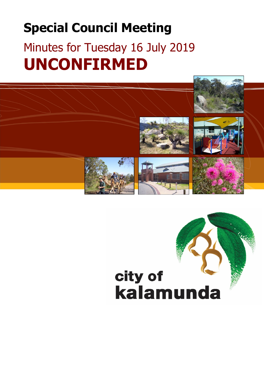## **Special Council Meeting**

# Minutes for Tuesday 16 July 2019 **UNCONFIRMED**

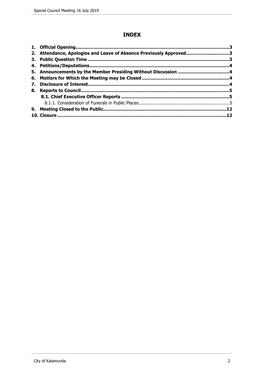## **INDEX**

|    | 2. Attendance, Apologies and Leave of Absence Previously Approved3 |  |
|----|--------------------------------------------------------------------|--|
|    |                                                                    |  |
|    |                                                                    |  |
|    |                                                                    |  |
|    |                                                                    |  |
| 7. |                                                                    |  |
|    |                                                                    |  |
|    |                                                                    |  |
|    |                                                                    |  |
|    |                                                                    |  |
|    |                                                                    |  |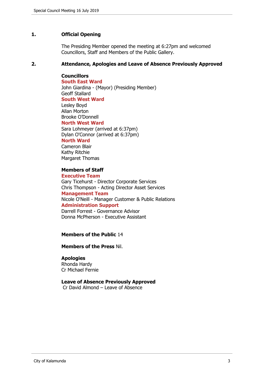#### <span id="page-2-0"></span>**1. Official Opening**

The Presiding Member opened the meeting at 6:27pm and welcomed Councillors, Staff and Members of the Public Gallery.

#### <span id="page-2-1"></span>**2. Attendance, Apologies and Leave of Absence Previously Approved**

## **Councillors**

**South East Ward**  John Giardina - (Mayor) (Presiding Member) Geoff Stallard **South West Ward** Lesley Boyd Allan Morton Brooke O'Donnell **North West Ward** Sara Lohmeyer (arrived at 6:37pm) Dylan O'Connor (arrived at 6:37pm) **North Ward**

Cameron Blair Kathy Ritchie Margaret Thomas

#### **Members of Staff**

**Executive Team** Gary Ticehurst - Director Corporate Services Chris Thompson - Acting Director Asset Services **Management Team** Nicole O'Neill - Manager Customer & Public Relations **Administration Support** Darrell Forrest - Governance Advisor Donna McPherson - Executive Assistant

#### **Members of the Public** 14

**Members of the Press** Nil.

#### **Apologies**

Rhonda Hardy Cr Michael Fernie

#### **Leave of Absence Previously Approved**

Cr David Almond – Leave of Absence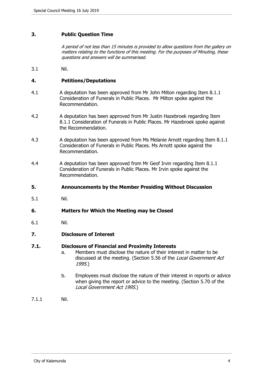#### <span id="page-3-0"></span>**3. Public Question Time**

*A period of not less than 15 minutes is provided to allow questions from the gallery on matters relating to the functions of this meeting. For the purposes of Minuting, these questions and answers will be summarised.*

3.1 Nil.

#### <span id="page-3-1"></span>**4. Petitions/Deputations**

- 4.1 A deputation has been approved from Mr John Milton regarding Item 8.1.1 Consideration of Funerals in Public Places. Mr Milton spoke against the Recommendation.
- 4.2 A deputation has been approved from Mr Justin Hazebroek regarding Item 8.1.1 Consideration of Funerals in Public Places. Mr Hazebroek spoke against the Recommendation.
- 4.3 A deputation has been approved from Ms Melanie Arnott regarding Item 8.1.1 Consideration of Funerals in Public Places. Ms Arnott spoke against the Recommendation.
- 4.4 A deputation has been approved from Mr Geof Irvin regarding Item 8.1.1 Consideration of Funerals in Public Places. Mr Irvin spoke against the Recommendation.
- <span id="page-3-2"></span>**5. Announcements by the Member Presiding Without Discussion**
- 5.1 Nil.

#### <span id="page-3-3"></span>**6. Matters for Which the Meeting may be Closed**

6.1 Nil.

#### <span id="page-3-4"></span>**7. Disclosure of Interest**

#### **7.1. Disclosure of Financial and Proximity Interests**

- a. Members must disclose the nature of their interest in matter to be discussed at the meeting. (Section 5.56 of the *Local Government Act 1995*.)
- b. Employees must disclose the nature of their interest in reports or advice when giving the report or advice to the meeting. (Section 5.70 of the *Local Government Act 1995*.)
- 7.1.1 Nil.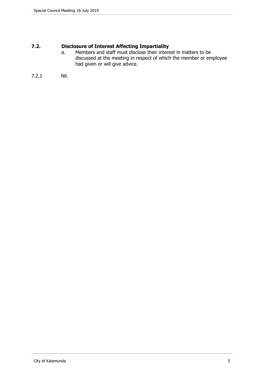## **7.2. Disclosure of Interest Affecting Impartiality**

- a. Members and staff must disclose their interest in matters to be discussed at the meeting in respect of which the member or employee had given or will give advice.
- 7.2.1 Nil.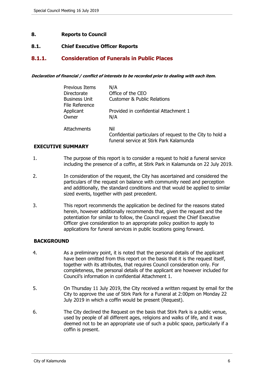#### <span id="page-5-0"></span>**8. Reports to Council**

#### <span id="page-5-1"></span>**8.1. Chief Executive Officer Reports**

## <span id="page-5-2"></span>**8.1.1. Consideration of Funerals in Public Places**

*Declaration of financial / conflict of interests to be recorded prior to dealing with each item.*

| <b>Previous Items</b>                  | N/A                                                                                                         |
|----------------------------------------|-------------------------------------------------------------------------------------------------------------|
| Directorate                            | Office of the CEO                                                                                           |
| <b>Business Unit</b><br>File Reference | <b>Customer &amp; Public Relations</b>                                                                      |
| Applicant<br>Owner                     | Provided in confidential Attachment 1<br>N/A                                                                |
| Attachments                            | Nil<br>Confidential particulars of request to the City to hold a<br>funeral service at Stirk Park Kalamunda |

#### **EXECUTIVE SUMMARY**

- 1. The purpose of this report is to consider a request to hold a funeral service including the presence of a coffin, at Stirk Park in Kalamunda on 22 July 2019.
- 2. In consideration of the request, the City has ascertained and considered the particulars of the request on balance with community need and perception and additionally, the standard conditions and that would be applied to similar sized events, together with past precedent.
- 3. This report recommends the application be declined for the reasons stated herein, however additionally recommends that, given the request and the potentiation for similar to follow, the Council request the Chief Executive Officer give consideration to an appropriate policy position to apply to applications for funeral services in public locations going forward.

#### **BACKGROUND**

- 4. As a preliminary point, it is noted that the personal details of the applicant have been omitted from this report on the basis that it is the request itself, together with its attributes, that requires Council consideration only. For completeness, the personal details of the applicant are however included for Council's information in confidential Attachment 1.
- 5. On Thursday 11 July 2019, the City received a written request by email for the City to approve the use of Stirk Park for a Funeral at 2:00pm on Monday 22 July 2019 in which a coffin would be present (Request).
- 6. The City declined the Request on the basis that Stirk Park is a public venue, used by people of all different ages, religions and walks of life, and it was deemed not to be an appropriate use of such a public space, particularly if a coffin is present.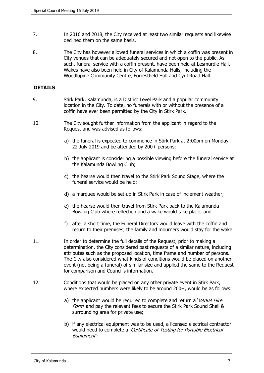- 7. In 2016 and 2018, the City received at least two similar requests and likewise declined them on the same basis.
- 8. The City has however allowed funeral services in which a coffin was present in City venues that can be adequately secured and not open to the public. As such, funeral service with a coffin present, have been held at Lesmurdie Hall. Wakes have also been held in City of Kalamunda Halls, including the Woodlupine Community Centre, Forrestfield Hall and Cyril Road Hall.

#### **DETAILS**

- 9. Stirk Park, Kalamunda, is a District Level Park and a popular community location in the City. To date, no funerals with or without the presence of a coffin have ever been permitted by the City in Stirk Park.
- 10. The City sought further information from the applicant in regard to the Request and was advised as follows:
	- a) the funeral is expected to commence in Stirk Park at 2:00pm on Monday 22 July 2019 and be attended by 200+ persons;
	- b) the applicant is considering a possible viewing before the funeral service at the Kalamunda Bowling Club;
	- c) the hearse would then travel to the Stirk Park Sound Stage, where the funeral service would be held;
	- d) a marquee would be set up in Stirk Park in case of inclement weather;
	- e) the hearse would then travel from Stirk Park back to the Kalamunda Bowling Club where reflection and a wake would take place; and
	- f) after a short time, the Funeral Directors would leave with the coffin and return to their premises, the family and mourners would stay for the wake.
- 11. In order to determine the full details of the Request, prior to making a determination, the City considered past requests of a similar nature, including attributes such as the proposed location, time frame and number of persons. The City also considered what kinds of conditions would be placed on another event (not being a funeral) of similar size and applied the same to the Request for comparison and Council's information.
- 12. Conditions that would be placed on any other private event in Stirk Park, where expected numbers were likely to be around 200+, would be as follows:
	- a) the applicant would be required to complete and return a '*Venue Hire Form*' and pay the relevant fees to secure the Stirk Park Sound Shell & surrounding area for private use;
	- b) if any electrical equipment was to be used, a licensed electrical contractor would need to complete a '*Certificate of Testing for Portable Electrical Equipment'*;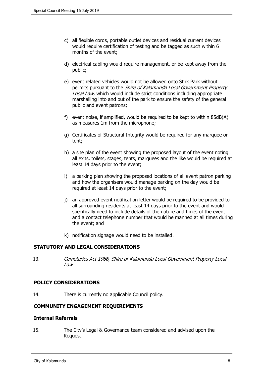- c) all flexible cords, portable outlet devices and residual current devices would require certification of testing and be tagged as such within 6 months of the event;
- d) electrical cabling would require management, or be kept away from the public;
- e) event related vehicles would not be allowed onto Stirk Park without permits pursuant to the *Shire of Kalamunda Local Government Property Local Law*, which would include strict conditions including appropriate marshalling into and out of the park to ensure the safety of the general public and event patrons;
- f) event noise, if amplified, would be required to be kept to within 85dB(A) as measures 1m from the microphone;
- g) Certificates of Structural Integrity would be required for any marquee or tent;
- h) a site plan of the event showing the proposed layout of the event noting all exits, toilets, stages, tents, marquees and the like would be required at least 14 days prior to the event;
- i) a parking plan showing the proposed locations of all event patron parking and how the organisers would manage parking on the day would be required at least 14 days prior to the event;
- j) an approved event notification letter would be required to be provided to all surrounding residents at least 14 days prior to the event and would specifically need to include details of the nature and times of the event and a contact telephone number that would be manned at all times during the event; and
- k) notification signage would need to be installed.

#### **STATUTORY AND LEGAL CONSIDERATIONS**

13. *Cemeteries Act 1986, Shire of Kalamunda Local Government Property Local Law*

#### **POLICY CONSIDERATIONS**

14. There is currently no applicable Council policy.

#### **COMMUNITY ENGAGEMENT REQUIREMENTS**

#### **Internal Referrals**

15. The City's Legal & Governance team considered and advised upon the Request.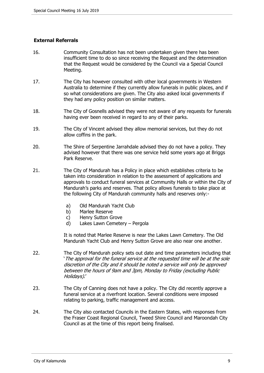## **External Referrals**

- 16. Community Consultation has not been undertaken given there has been insufficient time to do so since receiving the Request and the determination that the Request would be considered by the Council via a Special Council Meeting.
- 17. The City has however consulted with other local governments in Western Australia to determine if they currently allow funerals in public places, and if so what considerations are given. The City also asked local governments if they had any policy position on similar matters.
- 18. The City of Gosnells advised they were not aware of any requests for funerals having ever been received in regard to any of their parks.
- 19. The City of Vincent advised they allow memorial services, but they do not allow coffins in the park.
- 20. The Shire of Serpentine Jarrahdale advised they do not have a policy. They advised however that there was one service held some years ago at Briggs Park Reserve.
- 21. The City of Mandurah has a Policy in place which establishes criteria to be taken into consideration in relation to the assessment of applications and approvals to conduct funeral services at Community Halls or within the City of Mandurah's parks and reserves. That policy allows funerals to take place at the following City of Mandurah community halls and reserves only:
	- a) Old Mandurah Yacht Club
	- b) Marlee Reserve
	- c) Henry Sutton Grove
	- d) Lakes Lawn Cemetery Pergola

It is noted that Marlee Reserve is near the Lakes Lawn Cemetery. The Old Mandurah Yacht Club and Henry Sutton Grove are also near one another.

- 22. The City of Mandurah policy sets out date and time parameters including that '*The approval for the funeral service at the requested time will be at the sole discretion of the City and it should be noted a service will only be approved between the hours of 9am and 3pm, Monday to Friday (excluding Public Holidays)*.'
- 23. The City of Canning does not have a policy. The City did recently approve a funeral service at a riverfront location. Several conditions were imposed relating to parking, traffic management and access.
- 24. The City also contacted Councils in the Eastern States, with responses from the Fraser Coast Regional Council, Tweed Shire Council and Maroondah City Council as at the time of this report being finalised.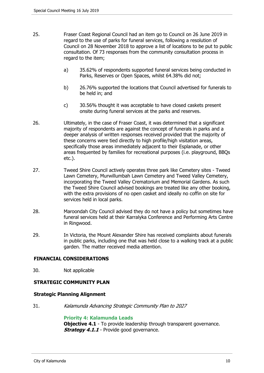- 25. Fraser Coast Regional Council had an item go to Council on 26 June 2019 in regard to the use of parks for funeral services, following a resolution of Council on 28 November 2018 to approve a list of locations to be put to public consultation. Of 73 responses from the community consultation process in regard to the item;
	- a) 35.62% of respondents supported funeral services being conducted in Parks, Reserves or Open Spaces, whilst 64.38% did not;
	- b) 26.76% supported the locations that Council advertised for funerals to be held in; and
	- c) 30.56% thought it was acceptable to have closed caskets present onsite during funeral services at the parks and reserves.
- 26. Ultimately, in the case of Fraser Coast, it was determined that a significant majority of respondents are against the concept of funerals in parks and a deeper analysis of written responses received provided that the majority of these concerns were tied directly to high profile/high visitation areas, specifically those areas immediately adjacent to their Esplanade, or other areas frequented by families for recreational purposes (i.e. playground, BBQs etc.).
- 27. Tweed Shire Council actively operates three park like Cemetery sites Tweed Lawn Cemetery, Murwillumbah Lawn Cemetery and Tweed Valley Cemetery, incorporating the Tweed Valley Crematorium and Memorial Gardens. As such the Tweed Shire Council advised bookings are treated like any other booking, with the extra provisions of no open casket and ideally no coffin on site for services held in local parks.
- 28. Maroondah City Council advised they do not have a policy but sometimes have funeral services held at their Karralyka Conference and Performing Arts Centre in Ringwood.
- 29. In Victoria, the Mount Alexander Shire has received complaints about funerals in public parks, including one that was held close to a walking track at a public garden. The matter received media attention.

#### **FINANCIAL CONSIDERATIONS**

30. Not applicable

#### **STRATEGIC COMMUNITY PLAN**

#### **Strategic Planning Alignment**

31. *Kalamunda Advancing Strategic Community Plan to 2027*

#### **Priority 4: Kalamunda Leads**

**Objective 4.1** - To provide leadership through transparent governance. *Strategy 4.1.1* - Provide good governance.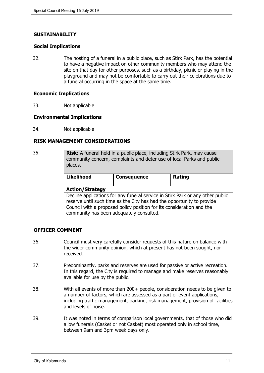#### **SUSTAINABILITY**

#### **Social Implications**

32. The hosting of a funeral in a public place, such as Stirk Park, has the potential to have a negative impact on other community members who may attend the site on that day for other purposes, such as a birthday, picnic or playing in the playground and may not be comfortable to carry out their celebrations due to a funeral occurring in the space at the same time.

#### **Economic Implications**

33. Not applicable

#### **Environmental Implications**

34. Not applicable

#### **RISK MANAGEMENT CONSIDERATIONS**

35. **Risk**: A funeral held in a public place, including Stirk Park, may cause community concern, complaints and deter use of local Parks and public places.

| <b>Likelihood</b>                                                                                                                                                                                                                                                             | <b>Consequence</b> | Rating |  |  |  |
|-------------------------------------------------------------------------------------------------------------------------------------------------------------------------------------------------------------------------------------------------------------------------------|--------------------|--------|--|--|--|
|                                                                                                                                                                                                                                                                               |                    |        |  |  |  |
| <b>Action/Strategy</b>                                                                                                                                                                                                                                                        |                    |        |  |  |  |
| Decline applications for any funeral service in Stirk Park or any other public<br>reserve until such time as the City has had the opportunity to provide<br>Council with a proposed policy position for its consideration and the<br>community has been adequately consulted. |                    |        |  |  |  |

#### **OFFICER COMMENT**

- 36. Council must very carefully consider requests of this nature on balance with the wider community opinion, which at present has not been sought, nor received.
- 37. Predominantly, parks and reserves are used for passive or active recreation. In this regard, the City is required to manage and make reserves reasonably available for use by the public.
- 38. With all events of more than 200+ people, consideration needs to be given to a number of factors, which are assessed as a part of event applications, including traffic management, parking, risk management, provision of facilities and levels of noise.
- 39. It was noted in terms of comparison local governments, that of those who did allow funerals (Casket or not Casket) most operated only in school time, between 9am and 3pm week days only.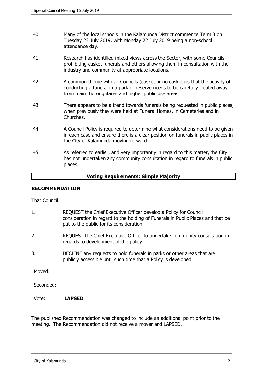- 40. Many of the local schools in the Kalamunda District commence Term 3 on Tuesday 23 July 2019, with Monday 22 July 2019 being a non-school attendance day.
- 41. Research has identified mixed views across the Sector, with some Councils prohibiting casket funerals and others allowing them in consultation with the industry and community at appropriate locations.
- 42. A common theme with all Councils (casket or no casket) is that the activity of conducting a funeral in a park or reserve needs to be carefully located away from main thoroughfares and higher public use areas.
- 43. There appears to be a trend towards funerals being requested in public places, when previously they were held at Funeral Homes, in Cemeteries and in Churches.
- 44. A Council Policy is required to determine what considerations need to be given in each case and ensure there is a clear position on funerals in public places in the City of Kalamunda moving forward.
- 45. As referred to earlier, and very importantly in regard to this matter, the City has not undertaken any community consultation in regard to funerals in public places.

#### **Voting Requirements: Simple Majority**

#### **RECOMMENDATION**

That Council:

- 1. REQUEST the Chief Executive Officer develop a Policy for Council consideration in regard to the holding of Funerals in Public Places and that be put to the public for its consideration.
- 2. REQUEST the Chief Executive Officer to undertake community consultation in regards to development of the policy.
- 3. DECLINE any requests to hold funerals in parks or other areas that are publicly accessible until such time that a Policy is developed.

Moved:

Seconded:

Vote: **LAPSED**

The published Recommendation was changed to include an additional point prior to the meeting. The Recommendation did not receive a mover and LAPSED.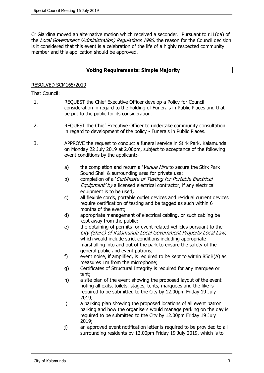Cr Giardina moved an alternative motion which received a seconder. Pursuant to r11(da) of the *Local Government (Administration) Regulations 1996*, the reason for the Council decision is it considered that this event is a celebration of the life of a highly respected community member and this application should be approved.

#### **Voting Requirements: Simple Majority**

#### RESOLVED SCM165/2019

That Council:

- 1. REQUEST the Chief Executive Officer develop a Policy for Council consideration in regard to the holding of Funerals in Public Places and that be put to the public for its consideration.
- 2. REQUEST the Chief Executive Officer to undertake community consultation in regard to development of the policy - Funerals in Public Places.
- 3. APPROVE the request to conduct a funeral service in Stirk Park, Kalamunda on Monday 22 July 2019 at 2.00pm, subject to acceptance of the following event conditions by the applicant:
	- a) the completion and return a '*Venue Hire* to secure the Stirk Park Sound Shell & surrounding area for private use;
	- b) completion of a '*Certificate of Testing for Portable Electrical Equipment' by* a licensed electrical contractor, if any electrical equipment is to be used*;*
	- c) all flexible cords, portable outlet devices and residual current devices require certification of testing and be tagged as such within 6 months of the event;
	- d) appropriate management of electrical cabling, or such cabling be kept away from the public;
	- e) the obtaining of permits for event related vehicles pursuant to the *City (Shire) of Kalamunda Local Government Property Local Law*, which would include strict conditions including appropriate marshalling into and out of the park to ensure the safety of the general public and event patrons;
	- f) event noise, if amplified, is required to be kept to within 85dB(A) as measures 1m from the microphone;
	- g) Certificates of Structural Integrity is required for any marquee or tent;
	- h) a site plan of the event showing the proposed layout of the event noting all exits, toilets, stages, tents, marquees and the like is required to be submitted to the City by 12.00pm Friday 19 July 2019;
	- i) a parking plan showing the proposed locations of all event patron parking and how the organisers would manage parking on the day is required to be submitted to the City by 12.00pm Friday 19 July 2019;
	- j) an approved event notification letter is required to be provided to all surrounding residents by 12.00pm Friday 19 July 2019, which is to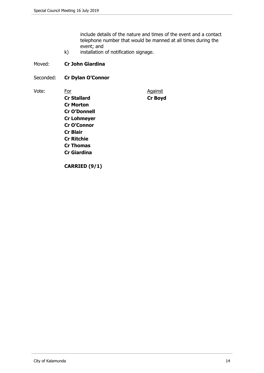include details of the nature and times of the event and a contact telephone number that would be manned at all times during the event; and

k) installation of notification signage.

#### Moved: **Cr John Giardina**

Seconded: **Cr Dylan O'Connor**

Vote: For For Against **Cr Stallard Cr Boyd Cr Morton Cr O'Donnell Cr Lohmeyer Cr O'Connor Cr Blair Cr Ritchie Cr Thomas Cr Giardina**

**CARRIED (9/1)**